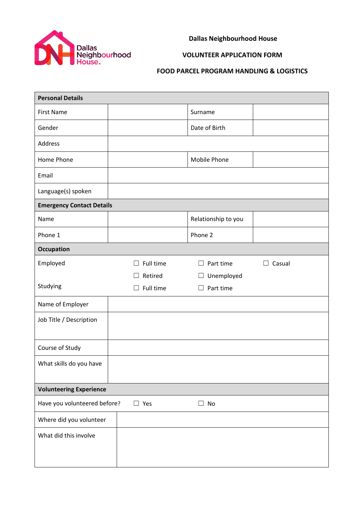

**Dallas Neighbourhood House**

## **VOLUNTEER APPLICATION FORM**

## **FOOD PARCEL PROGRAM HANDLING & LOGISTICS**

| <b>Personal Details</b>                                 |                     |                     |             |  |  |  |  |
|---------------------------------------------------------|---------------------|---------------------|-------------|--|--|--|--|
| <b>First Name</b>                                       |                     | Surname             |             |  |  |  |  |
| Gender                                                  |                     | Date of Birth       |             |  |  |  |  |
| Address                                                 |                     |                     |             |  |  |  |  |
| Home Phone                                              |                     | Mobile Phone        |             |  |  |  |  |
| Email                                                   |                     |                     |             |  |  |  |  |
| Language(s) spoken                                      |                     |                     |             |  |  |  |  |
| <b>Emergency Contact Details</b>                        |                     |                     |             |  |  |  |  |
| Name                                                    |                     | Relationship to you |             |  |  |  |  |
| Phone 1                                                 |                     | Phone 2             |             |  |  |  |  |
| <b>Occupation</b>                                       |                     |                     |             |  |  |  |  |
| Employed                                                | Full time<br>$\Box$ | Part time<br>$\Box$ | Casual<br>П |  |  |  |  |
|                                                         | Retired             | Unemployed<br>Ц     |             |  |  |  |  |
| Studying                                                | Full time           | Part time<br>$\Box$ |             |  |  |  |  |
| Name of Employer                                        |                     |                     |             |  |  |  |  |
| Job Title / Description                                 |                     |                     |             |  |  |  |  |
| Course of Study                                         |                     |                     |             |  |  |  |  |
| What skills do you have                                 |                     |                     |             |  |  |  |  |
| <b>Volunteering Experience</b>                          |                     |                     |             |  |  |  |  |
| Have you volunteered before?<br>$\Box$ No<br>$\Box$ Yes |                     |                     |             |  |  |  |  |
| Where did you volunteer                                 |                     |                     |             |  |  |  |  |
| What did this involve                                   |                     |                     |             |  |  |  |  |